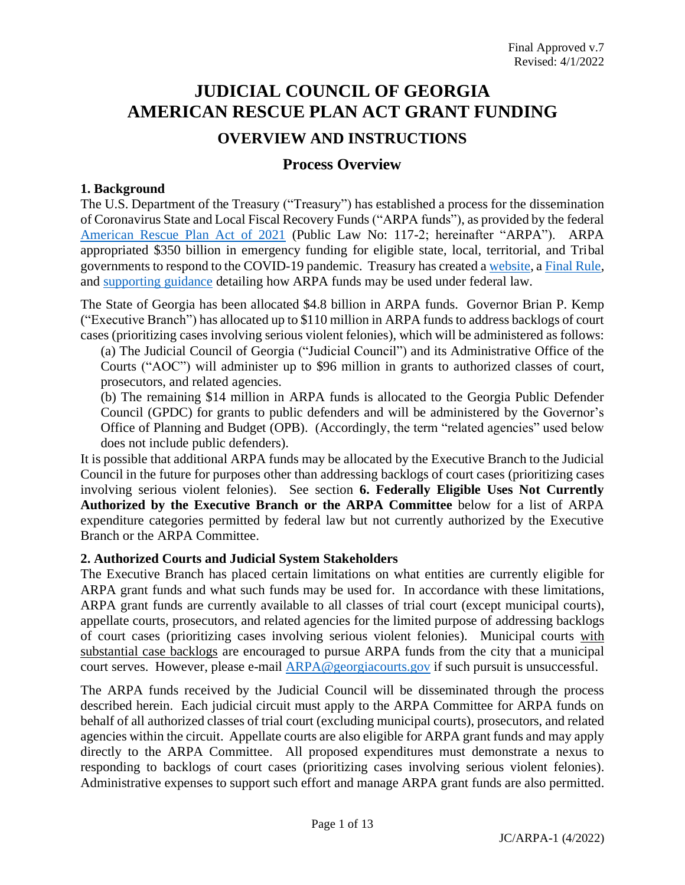## **JUDICIAL COUNCIL OF GEORGIA AMERICAN RESCUE PLAN ACT GRANT FUNDING OVERVIEW AND INSTRUCTIONS**

# **Process Overview**

#### **1. Background**

The U.S. Department of the Treasury ("Treasury") has established a process for the dissemination of Coronavirus State and Local Fiscal Recovery Funds ("ARPA funds"), as provided by the federal [American Rescue Plan Act of 2021](https://www.congress.gov/117/bills/hr1319/BILLS-117hr1319enr.pdf) (Public Law No: 117-2; hereinafter "ARPA"). ARPA appropriated \$350 billion in emergency funding for eligible state, local, territorial, and Tribal governments to respond to the COVID-19 pandemic. Treasury has created [a website,](https://home.treasury.gov/policy-issues/coronavirus/assistance-for-state-local-and-tribal-governments/state-and-local-fiscal-recovery-funds/) a [Final](https://www.govinfo.gov/content/pkg/FR-2022-01-27/pdf/2022-00292.pdf) Rule, and [supporting guidance](https://home.treasury.gov/system/files/136/SLFRF-Compliance-and-Reporting-Guidance.pdf) detailing how ARPA funds may be used under federal law.

The State of Georgia has been allocated \$4.8 billion in ARPA funds. Governor Brian P. Kemp ("Executive Branch") has allocated up to \$110 million in ARPA funds to address backlogs of court cases (prioritizing cases involving serious violent felonies), which will be administered as follows:

(a) The Judicial Council of Georgia ("Judicial Council") and its Administrative Office of the Courts ("AOC") will administer up to \$96 million in grants to authorized classes of court, prosecutors, and related agencies.

(b) The remaining \$14 million in ARPA funds is allocated to the Georgia Public Defender Council (GPDC) for grants to public defenders and will be administered by the Governor's Office of Planning and Budget (OPB). (Accordingly, the term "related agencies" used below does not include public defenders).

It is possible that additional ARPA funds may be allocated by the Executive Branch to the Judicial Council in the future for purposes other than addressing backlogs of court cases (prioritizing cases involving serious violent felonies). See section **6. Federally Eligible Uses Not Currently Authorized by the Executive Branch or the ARPA Committee** below for a list of ARPA expenditure categories permitted by federal law but not currently authorized by the Executive Branch or the ARPA Committee.

#### **2. Authorized Courts and Judicial System Stakeholders**

The Executive Branch has placed certain limitations on what entities are currently eligible for ARPA grant funds and what such funds may be used for. In accordance with these limitations, ARPA grant funds are currently available to all classes of trial court (except municipal courts), appellate courts, prosecutors, and related agencies for the limited purpose of addressing backlogs of court cases (prioritizing cases involving serious violent felonies). Municipal courts with substantial case backlogs are encouraged to pursue ARPA funds from the city that a municipal court serves. However, please e-mail [ARPA@georgiacourts.gov](mailto:ARPA@georgiacourts.gov) if such pursuit is unsuccessful.

The ARPA funds received by the Judicial Council will be disseminated through the process described herein. Each judicial circuit must apply to the ARPA Committee for ARPA funds on behalf of all authorized classes of trial court (excluding municipal courts), prosecutors, and related agencies within the circuit. Appellate courts are also eligible for ARPA grant funds and may apply directly to the ARPA Committee. All proposed expenditures must demonstrate a nexus to responding to backlogs of court cases (prioritizing cases involving serious violent felonies). Administrative expenses to support such effort and manage ARPA grant funds are also permitted.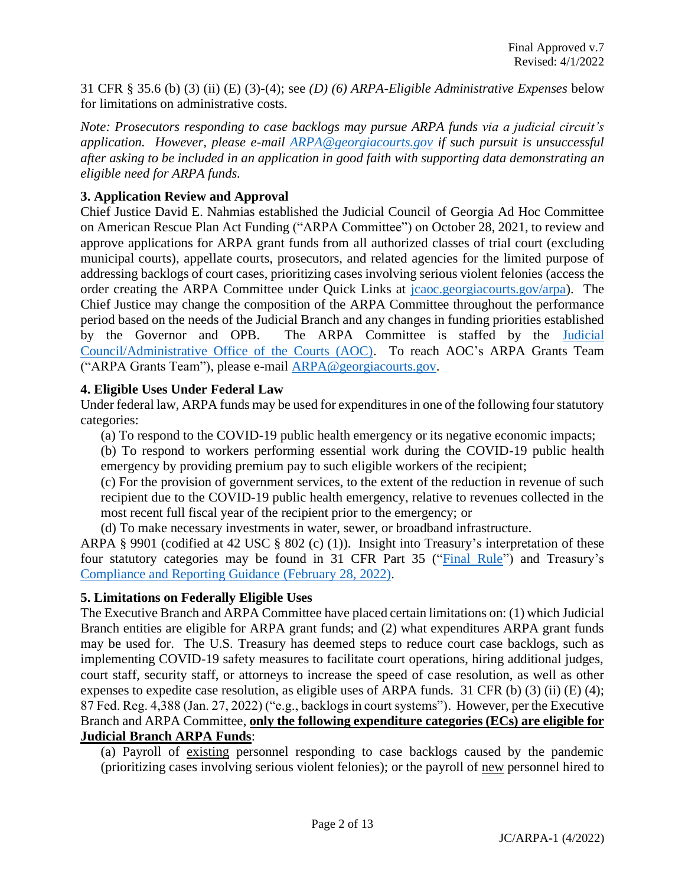31 CFR § 35.6 (b) (3) (ii) (E) (3)-(4); see *(D) (6) ARPA-Eligible Administrative Expenses* below for limitations on administrative costs.

*Note: Prosecutors responding to case backlogs may pursue ARPA funds via a judicial circuit's application. However, please e-mail [ARPA@georgiacourts.gov](mailto:ARPA@georgiacourts.gov) if such pursuit is unsuccessful after asking to be included in an application in good faith with supporting data demonstrating an eligible need for ARPA funds.*

#### **3. Application Review and Approval**

Chief Justice David E. Nahmias established the Judicial Council of Georgia Ad Hoc Committee on American Rescue Plan Act Funding ("ARPA Committee") on October 28, 2021, to review and approve applications for ARPA grant funds from all authorized classes of trial court (excluding municipal courts), appellate courts, prosecutors, and related agencies for the limited purpose of addressing backlogs of court cases, prioritizing cases involving serious violent felonies (access the order creating the ARPA Committee under Quick Links at [jcaoc.georgiacourts.gov/arpa\)](https://jcaoc.georgiacourts.gov/arpa). The Chief Justice may change the composition of the ARPA Committee throughout the performance period based on the needs of the Judicial Branch and any changes in funding priorities established by the Governor and OPB. The ARPA Committee is staffed by the [Judicial](https://jcaoc.georgiacourts.gov/)  [Council/Administrative Office of the Courts \(AOC\).](https://jcaoc.georgiacourts.gov/) To reach AOC's ARPA Grants Team ("ARPA Grants Team"), please e-mail [ARPA@georgiacourts.gov.](mailto:ARPA@georgiacourts.gov)

#### **4. Eligible Uses Under Federal Law**

Under federal law, ARPA funds may be used for expenditures in one of the following four statutory categories:

(a) To respond to the COVID-19 public health emergency or its negative economic impacts;

(b) To respond to workers performing essential work during the COVID-19 public health emergency by providing premium pay to such eligible workers of the recipient;

(c) For the provision of government services, to the extent of the reduction in revenue of such recipient due to the COVID-19 public health emergency, relative to revenues collected in the most recent full fiscal year of the recipient prior to the emergency; or

(d) To make necessary investments in water, sewer, or broadband infrastructure.

ARPA § 9901 (codified at 42 USC § 802 (c) (1)). Insight into Treasury's interpretation of these four statutory categories may be found in 31 CFR Part 35 (["Final Rule"](https://www.govinfo.gov/content/pkg/FR-2022-01-27/pdf/2022-00292.pdf)) and Treasury's [Compliance and Reporting Guidance](https://home.treasury.gov/system/files/136/SLFRF-Compliance-and-Reporting-Guidance.pdf) (February 28, 2022).

## **5. Limitations on Federally Eligible Uses**

The Executive Branch and ARPA Committee have placed certain limitations on: (1) which Judicial Branch entities are eligible for ARPA grant funds; and (2) what expenditures ARPA grant funds may be used for. The U.S. Treasury has deemed steps to reduce court case backlogs, such as implementing COVID-19 safety measures to facilitate court operations, hiring additional judges, court staff, security staff, or attorneys to increase the speed of case resolution, as well as other expenses to expedite case resolution, as eligible uses of ARPA funds. 31 CFR (b) (3) (ii) (E) (4); 87 Fed. Reg. 4,388 (Jan. 27, 2022) ("e.g., backlogs in court systems"). However, per the Executive Branch and ARPA Committee, **only the following expenditure categories (ECs) are eligible for Judicial Branch ARPA Funds**:

(a) Payroll of existing personnel responding to case backlogs caused by the pandemic (prioritizing cases involving serious violent felonies); or the payroll of new personnel hired to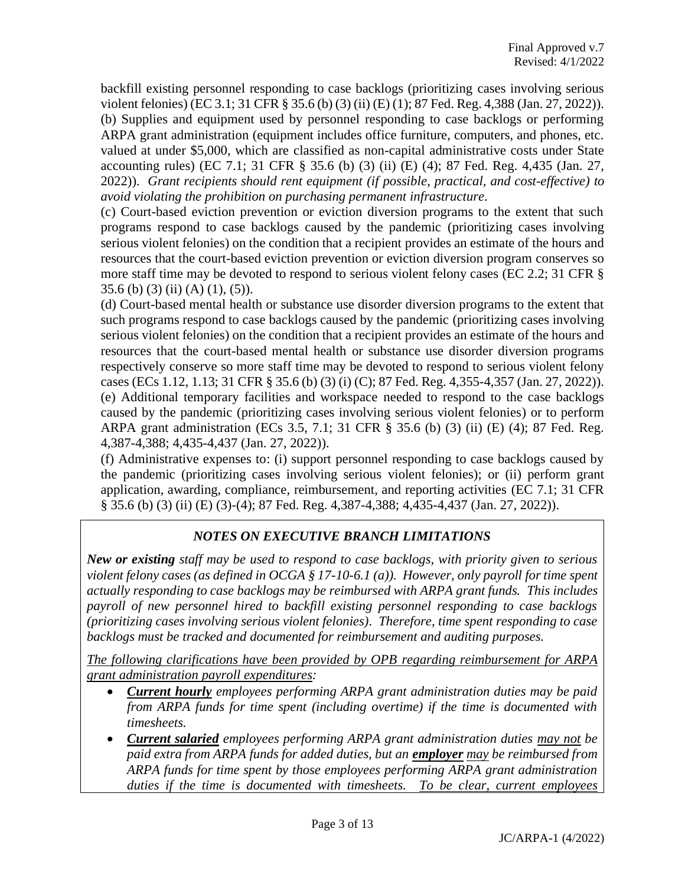backfill existing personnel responding to case backlogs (prioritizing cases involving serious violent felonies) (EC 3.1; 31 CFR § 35.6 (b) (3) (ii) (E) (1); 87 Fed. Reg. 4,388 (Jan. 27, 2022)). (b) Supplies and equipment used by personnel responding to case backlogs or performing ARPA grant administration (equipment includes office furniture, computers, and phones, etc. valued at under \$5,000, which are classified as non-capital administrative costs under State accounting rules) (EC 7.1; 31 CFR § 35.6 (b) (3) (ii) (E) (4); 87 Fed. Reg. 4,435 (Jan. 27, 2022)). *Grant recipients should rent equipment (if possible, practical, and cost-effective) to avoid violating the prohibition on purchasing permanent infrastructure.*

(c) Court-based eviction prevention or eviction diversion programs to the extent that such programs respond to case backlogs caused by the pandemic (prioritizing cases involving serious violent felonies) on the condition that a recipient provides an estimate of the hours and resources that the court-based eviction prevention or eviction diversion program conserves so more staff time may be devoted to respond to serious violent felony cases (EC 2.2; 31 CFR § 35.6 (b) (3) (ii) (A) (1), (5)).

(d) Court-based mental health or substance use disorder diversion programs to the extent that such programs respond to case backlogs caused by the pandemic (prioritizing cases involving serious violent felonies) on the condition that a recipient provides an estimate of the hours and resources that the court-based mental health or substance use disorder diversion programs respectively conserve so more staff time may be devoted to respond to serious violent felony cases (ECs 1.12, 1.13; 31 CFR § 35.6 (b) (3) (i) (C); 87 Fed. Reg. 4,355-4,357 (Jan. 27, 2022)). (e) Additional temporary facilities and workspace needed to respond to the case backlogs caused by the pandemic (prioritizing cases involving serious violent felonies) or to perform ARPA grant administration (ECs 3.5, 7.1; 31 CFR § 35.6 (b) (3) (ii) (E) (4); 87 Fed. Reg. 4,387-4,388; 4,435-4,437 (Jan. 27, 2022)).

(f) Administrative expenses to: (i) support personnel responding to case backlogs caused by the pandemic (prioritizing cases involving serious violent felonies); or (ii) perform grant application, awarding, compliance, reimbursement, and reporting activities (EC 7.1; 31 CFR § 35.6 (b) (3) (ii) (E) (3)-(4); 87 Fed. Reg. 4,387-4,388; 4,435-4,437 (Jan. 27, 2022)).

## *NOTES ON EXECUTIVE BRANCH LIMITATIONS*

*New or existing staff may be used to respond to case backlogs, with priority given to serious violent felony cases (as defined in OCGA § 17-10-6.1 (a)). However, only payroll for time spent actually responding to case backlogs may be reimbursed with ARPA grant funds. This includes payroll of new personnel hired to backfill existing personnel responding to case backlogs (prioritizing cases involving serious violent felonies). Therefore, time spent responding to case backlogs must be tracked and documented for reimbursement and auditing purposes.*

*The following clarifications have been provided by OPB regarding reimbursement for ARPA grant administration payroll expenditures:*

- *Current hourly employees performing ARPA grant administration duties may be paid from ARPA funds for time spent (including overtime) if the time is documented with timesheets.*
- *Current salaried employees performing ARPA grant administration duties may not be paid extra from ARPA funds for added duties, but an employer may be reimbursed from ARPA funds for time spent by those employees performing ARPA grant administration duties if the time is documented with timesheets. To be clear, current employees*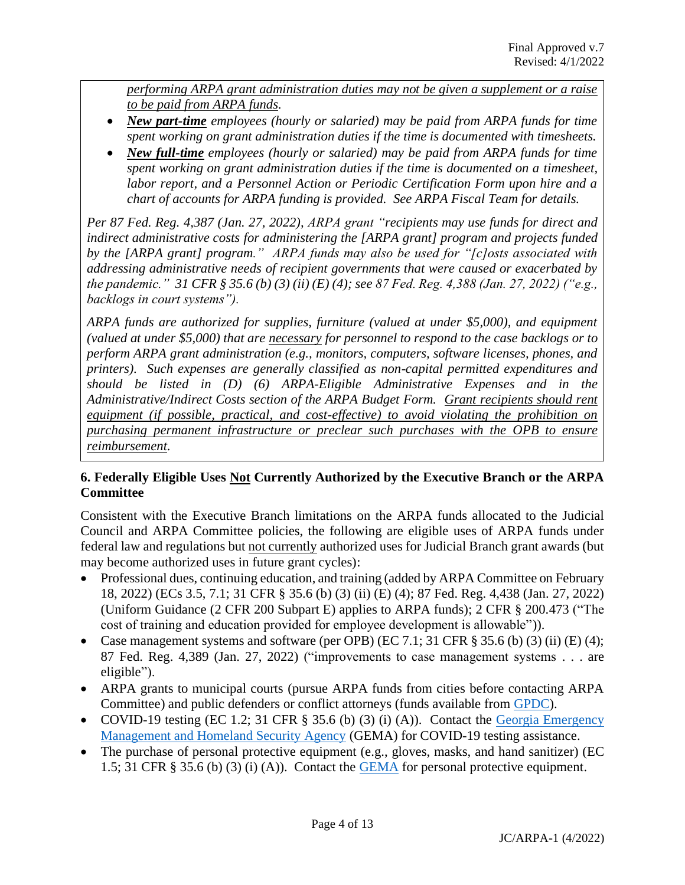*performing ARPA grant administration duties may not be given a supplement or a raise to be paid from ARPA funds.*

- *New part-time employees (hourly or salaried) may be paid from ARPA funds for time spent working on grant administration duties if the time is documented with timesheets.*
- *New full-time employees (hourly or salaried) may be paid from ARPA funds for time spent working on grant administration duties if the time is documented on a timesheet, labor report, and a Personnel Action or Periodic Certification Form upon hire and a chart of accounts for ARPA funding is provided. See ARPA Fiscal Team for details.*

*Per 87 Fed. Reg. 4,387 (Jan. 27, 2022), ARPA grant "recipients may use funds for direct and indirect administrative costs for administering the [ARPA grant] program and projects funded by the [ARPA grant] program." ARPA funds may also be used for "[c]osts associated with addressing administrative needs of recipient governments that were caused or exacerbated by the pandemic." 31 CFR § 35.6 (b) (3) (ii) (E) (4); see 87 Fed. Reg. 4,388 (Jan. 27, 2022) ("e.g., backlogs in court systems").*

*ARPA funds are authorized for supplies, furniture (valued at under \$5,000), and equipment (valued at under \$5,000) that are necessary for personnel to respond to the case backlogs or to perform ARPA grant administration (e.g., monitors, computers, software licenses, phones, and printers). Such expenses are generally classified as non-capital permitted expenditures and should be listed in (D) (6) ARPA-Eligible Administrative Expenses and in the Administrative/Indirect Costs section of the ARPA Budget Form. Grant recipients should rent equipment (if possible, practical, and cost-effective) to avoid violating the prohibition on purchasing permanent infrastructure or preclear such purchases with the OPB to ensure reimbursement.*

#### **6. Federally Eligible Uses Not Currently Authorized by the Executive Branch or the ARPA Committee**

Consistent with the Executive Branch limitations on the ARPA funds allocated to the Judicial Council and ARPA Committee policies, the following are eligible uses of ARPA funds under federal law and regulations but not currently authorized uses for Judicial Branch grant awards (but may become authorized uses in future grant cycles):

- Professional dues, continuing education, and training (added by ARPA Committee on February 18, 2022) (ECs 3.5, 7.1; 31 CFR § 35.6 (b) (3) (ii) (E) (4); 87 Fed. Reg. 4,438 (Jan. 27, 2022) (Uniform Guidance (2 CFR 200 Subpart E) applies to ARPA funds); 2 CFR § 200.473 ("The cost of training and education provided for employee development is allowable")).
- Case management systems and software (per OPB) (EC 7.1; 31 CFR  $\S$  35.6 (b) (3) (ii) (E) (4); 87 Fed. Reg. 4,389 (Jan. 27, 2022) ("improvements to case management systems . . . are eligible").
- ARPA grants to municipal courts (pursue ARPA funds from cities before contacting ARPA Committee) and public defenders or conflict attorneys (funds available from [GPDC\)](http://www.gapubdef.org/).
- COVID-19 testing (EC 1.2; 31 CFR § 35.6 (b) (3) (i) (A)). Contact the Georgia Emergency [Management and Homeland Security Agency](https://gema.georgia.gov/) (GEMA) for COVID-19 testing assistance.
- The purchase of personal protective equipment (e.g., gloves, masks, and hand sanitizer) (EC 1.5; 31 CFR  $\S$  35.6 (b) (3) (i) (A)). Contact the [GEMA](https://gema.georgia.gov/) for personal protective equipment.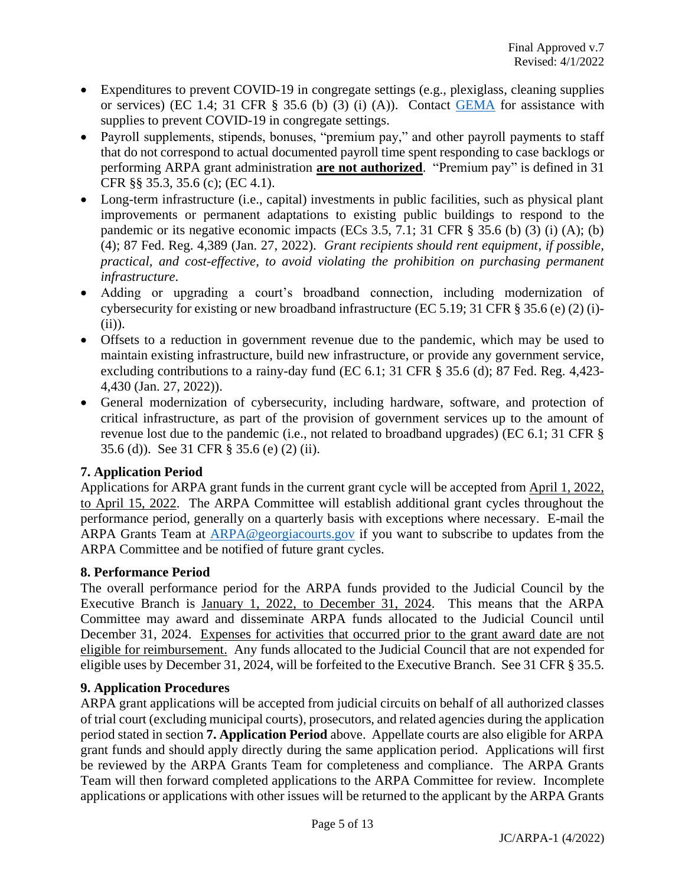- Expenditures to prevent COVID-19 in congregate settings (e.g., plexiglass, cleaning supplies or services) (EC 1.4; 31 CFR  $\S$  35.6 (b) (3) (i) (A)). Contact [GEMA](https://gema.georgia.gov/) for assistance with supplies to prevent COVID-19 in congregate settings.
- Payroll supplements, stipends, bonuses, "premium pay," and other payroll payments to staff that do not correspond to actual documented payroll time spent responding to case backlogs or performing ARPA grant administration **are not authorized**. "Premium pay" is defined in 31 CFR §§ 35.3, 35.6 (c); (EC 4.1).
- Long-term infrastructure (i.e., capital) investments in public facilities, such as physical plant improvements or permanent adaptations to existing public buildings to respond to the pandemic or its negative economic impacts (ECs 3.5, 7.1; 31 CFR  $\S$  35.6 (b) (3) (i) (A); (b) (4); 87 Fed. Reg. 4,389 (Jan. 27, 2022). *Grant recipients should rent equipment, if possible, practical, and cost-effective, to avoid violating the prohibition on purchasing permanent infrastructure.*
- Adding or upgrading a court's broadband connection, including modernization of cybersecurity for existing or new broadband infrastructure (EC 5.19; 31 CFR § 35.6 (e) (2) (i)- (ii)).
- Offsets to a reduction in government revenue due to the pandemic, which may be used to maintain existing infrastructure, build new infrastructure, or provide any government service, excluding contributions to a rainy-day fund (EC 6.1; 31 CFR § 35.6 (d); 87 Fed. Reg. 4,423- 4,430 (Jan. 27, 2022)).
- General modernization of cybersecurity, including hardware, software, and protection of critical infrastructure, as part of the provision of government services up to the amount of revenue lost due to the pandemic (i.e., not related to broadband upgrades) (EC 6.1; 31 CFR § 35.6 (d)). See 31 CFR § 35.6 (e) (2) (ii).

## **7. Application Period**

Applications for ARPA grant funds in the current grant cycle will be accepted from April 1, 2022, to April 15, 2022. The ARPA Committee will establish additional grant cycles throughout the performance period, generally on a quarterly basis with exceptions where necessary. E-mail the ARPA Grants Team at [ARPA@georgiacourts.gov](mailto:ARPA@georgiacourts.gov) if you want to subscribe to updates from the ARPA Committee and be notified of future grant cycles.

## **8. Performance Period**

The overall performance period for the ARPA funds provided to the Judicial Council by the Executive Branch is January 1, 2022, to December 31, 2024. This means that the ARPA Committee may award and disseminate ARPA funds allocated to the Judicial Council until December 31, 2024. Expenses for activities that occurred prior to the grant award date are not eligible for reimbursement. Any funds allocated to the Judicial Council that are not expended for eligible uses by December 31, 2024, will be forfeited to the Executive Branch. See 31 CFR § 35.5.

## **9. Application Procedures**

ARPA grant applications will be accepted from judicial circuits on behalf of all authorized classes of trial court (excluding municipal courts), prosecutors, and related agencies during the application period stated in section **7. Application Period** above. Appellate courts are also eligible for ARPA grant funds and should apply directly during the same application period. Applications will first be reviewed by the ARPA Grants Team for completeness and compliance. The ARPA Grants Team will then forward completed applications to the ARPA Committee for review. Incomplete applications or applications with other issues will be returned to the applicant by the ARPA Grants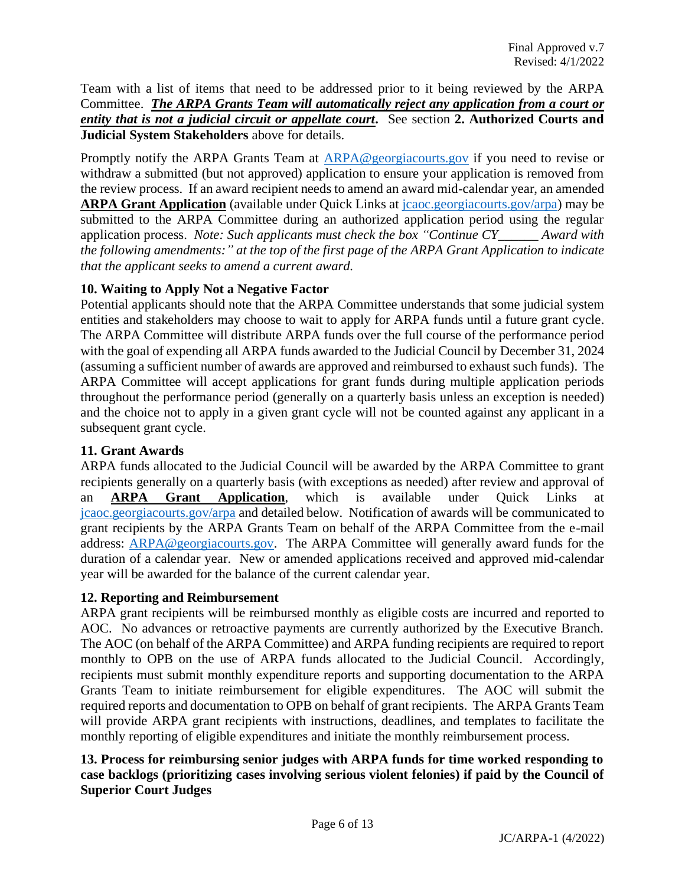Team with a list of items that need to be addressed prior to it being reviewed by the ARPA Committee. *The ARPA Grants Team will automatically reject any application from a court or entity that is not a judicial circuit or appellate court.* See section **2. Authorized Courts and Judicial System Stakeholders** above for details.

Promptly notify the ARPA Grants Team at [ARPA@georgiacourts.gov](mailto:ARPA@georgiacourts.gov) if you need to revise or withdraw a submitted (but not approved) application to ensure your application is removed from the review process. If an award recipient needs to amend an award mid-calendar year, an amended **ARPA Grant Application** (available under Quick Links at [jcaoc.georgiacourts.gov/arpa\)](https://jcaoc.georgiacourts.gov/arpa) may be submitted to the ARPA Committee during an authorized application period using the regular application process. *Note: Such applicants must check the box "Continue CY\_\_\_\_\_\_ Award with the following amendments:" at the top of the first page of the ARPA Grant Application to indicate that the applicant seeks to amend a current award.*

#### **10. Waiting to Apply Not a Negative Factor**

Potential applicants should note that the ARPA Committee understands that some judicial system entities and stakeholders may choose to wait to apply for ARPA funds until a future grant cycle. The ARPA Committee will distribute ARPA funds over the full course of the performance period with the goal of expending all ARPA funds awarded to the Judicial Council by December 31, 2024 (assuming a sufficient number of awards are approved and reimbursed to exhaust such funds). The ARPA Committee will accept applications for grant funds during multiple application periods throughout the performance period (generally on a quarterly basis unless an exception is needed) and the choice not to apply in a given grant cycle will not be counted against any applicant in a subsequent grant cycle.

#### **11. Grant Awards**

ARPA funds allocated to the Judicial Council will be awarded by the ARPA Committee to grant recipients generally on a quarterly basis (with exceptions as needed) after review and approval of an **ARPA Grant Application**, which is available under Quick Links at [jcaoc.georgiacourts.gov/arpa](https://jcaoc.georgiacourts.gov/arpa) and detailed below. Notification of awards will be communicated to grant recipients by the ARPA Grants Team on behalf of the ARPA Committee from the e-mail address: [ARPA@georgiacourts.gov.](mailto:ARPA@georgiacourts.gov) The ARPA Committee will generally award funds for the duration of a calendar year. New or amended applications received and approved mid-calendar year will be awarded for the balance of the current calendar year.

#### **12. Reporting and Reimbursement**

ARPA grant recipients will be reimbursed monthly as eligible costs are incurred and reported to AOC. No advances or retroactive payments are currently authorized by the Executive Branch. The AOC (on behalf of the ARPA Committee) and ARPA funding recipients are required to report monthly to OPB on the use of ARPA funds allocated to the Judicial Council. Accordingly, recipients must submit monthly expenditure reports and supporting documentation to the ARPA Grants Team to initiate reimbursement for eligible expenditures. The AOC will submit the required reports and documentation to OPB on behalf of grant recipients. The ARPA Grants Team will provide ARPA grant recipients with instructions, deadlines, and templates to facilitate the monthly reporting of eligible expenditures and initiate the monthly reimbursement process.

#### **13. Process for reimbursing senior judges with ARPA funds for time worked responding to case backlogs (prioritizing cases involving serious violent felonies) if paid by the Council of Superior Court Judges**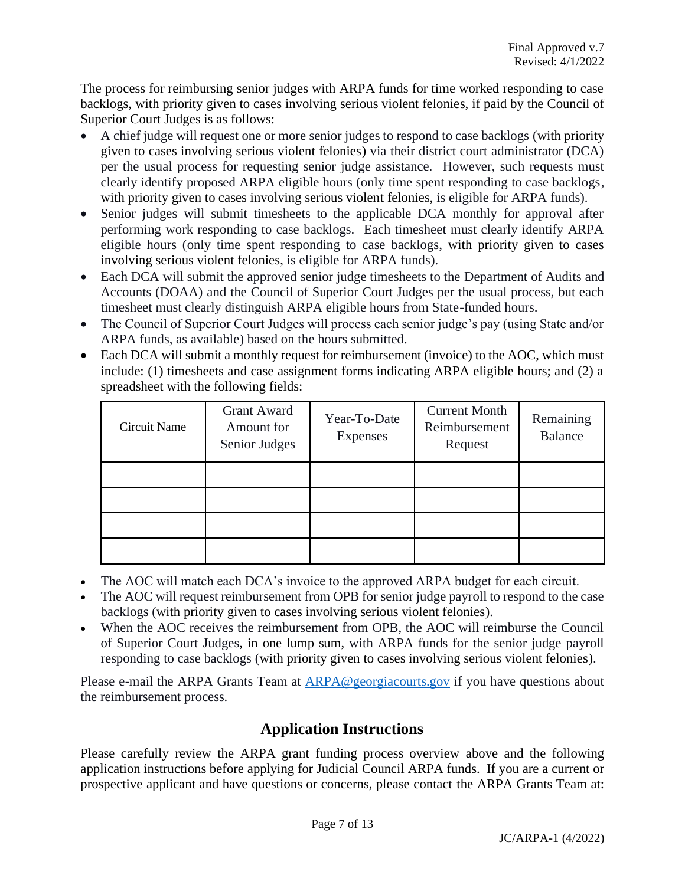The process for reimbursing senior judges with ARPA funds for time worked responding to case backlogs, with priority given to cases involving serious violent felonies, if paid by the Council of Superior Court Judges is as follows:

- A chief judge will request one or more senior judges to respond to case backlogs (with priority given to cases involving serious violent felonies) via their district court administrator (DCA) per the usual process for requesting senior judge assistance. However, such requests must clearly identify proposed ARPA eligible hours (only time spent responding to case backlogs, with priority given to cases involving serious violent felonies, is eligible for ARPA funds).
- Senior judges will submit timesheets to the applicable DCA monthly for approval after performing work responding to case backlogs. Each timesheet must clearly identify ARPA eligible hours (only time spent responding to case backlogs, with priority given to cases involving serious violent felonies, is eligible for ARPA funds).
- Each DCA will submit the approved senior judge timesheets to the Department of Audits and Accounts (DOAA) and the Council of Superior Court Judges per the usual process, but each timesheet must clearly distinguish ARPA eligible hours from State-funded hours.
- The Council of Superior Court Judges will process each senior judge's pay (using State and/or ARPA funds, as available) based on the hours submitted.
- Each DCA will submit a monthly request for reimbursement (invoice) to the AOC, which must include: (1) timesheets and case assignment forms indicating ARPA eligible hours; and (2) a spreadsheet with the following fields:

| Circuit Name | <b>Grant Award</b><br>Amount for<br>Senior Judges | Year-To-Date<br>Expenses | <b>Current Month</b><br>Reimbursement<br>Request | Remaining<br><b>Balance</b> |
|--------------|---------------------------------------------------|--------------------------|--------------------------------------------------|-----------------------------|
|              |                                                   |                          |                                                  |                             |
|              |                                                   |                          |                                                  |                             |
|              |                                                   |                          |                                                  |                             |
|              |                                                   |                          |                                                  |                             |

- The AOC will match each DCA's invoice to the approved ARPA budget for each circuit.
- The AOC will request reimbursement from OPB for senior judge payroll to respond to the case backlogs (with priority given to cases involving serious violent felonies).
- When the AOC receives the reimbursement from OPB, the AOC will reimburse the Council of Superior Court Judges, in one lump sum, with ARPA funds for the senior judge payroll responding to case backlogs (with priority given to cases involving serious violent felonies).

Please e-mail the ARPA Grants Team at [ARPA@georgiacourts.gov](mailto:ARPA@georgiacourts.gov) if you have questions about the reimbursement process.

## **Application Instructions**

Please carefully review the ARPA grant funding process overview above and the following application instructions before applying for Judicial Council ARPA funds. If you are a current or prospective applicant and have questions or concerns, please contact the ARPA Grants Team at: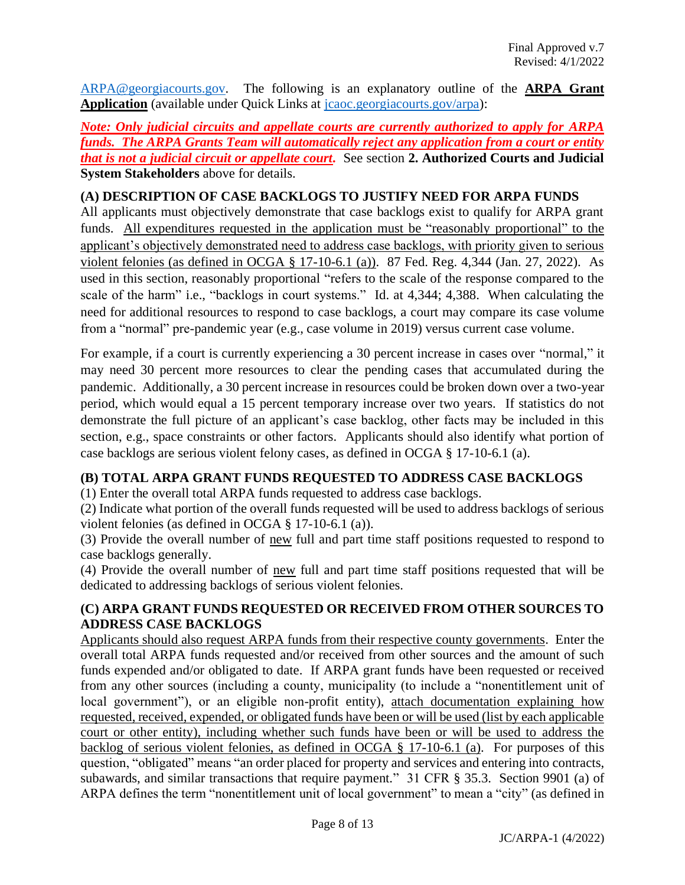[ARPA@georgiacourts.gov.](mailto:ARPA@georgiacourts.gov) The following is an explanatory outline of the **ARPA Grant Application** (available under Quick Links at [jcaoc.georgiacourts.gov/arpa\)](https://jcaoc.georgiacourts.gov/arpa):

*Note: Only judicial circuits and appellate courts are currently authorized to apply for ARPA funds. The ARPA Grants Team will automatically reject any application from a court or entity that is not a judicial circuit or appellate court.* See section **2. Authorized Courts and Judicial System Stakeholders** above for details.

#### **(A) DESCRIPTION OF CASE BACKLOGS TO JUSTIFY NEED FOR ARPA FUNDS**

All applicants must objectively demonstrate that case backlogs exist to qualify for ARPA grant funds. All expenditures requested in the application must be "reasonably proportional" to the applicant's objectively demonstrated need to address case backlogs, with priority given to serious violent felonies (as defined in OCGA § 17-10-6.1 (a)). 87 Fed. Reg. 4,344 (Jan. 27, 2022). As used in this section, reasonably proportional "refers to the scale of the response compared to the scale of the harm" i.e., "backlogs in court systems." Id. at 4,344; 4,388. When calculating the need for additional resources to respond to case backlogs, a court may compare its case volume from a "normal" pre-pandemic year (e.g., case volume in 2019) versus current case volume.

For example, if a court is currently experiencing a 30 percent increase in cases over "normal," it may need 30 percent more resources to clear the pending cases that accumulated during the pandemic. Additionally, a 30 percent increase in resources could be broken down over a two-year period, which would equal a 15 percent temporary increase over two years. If statistics do not demonstrate the full picture of an applicant's case backlog, other facts may be included in this section, e.g., space constraints or other factors. Applicants should also identify what portion of case backlogs are serious violent felony cases, as defined in OCGA § 17-10-6.1 (a).

#### **(B) TOTAL ARPA GRANT FUNDS REQUESTED TO ADDRESS CASE BACKLOGS**

(1) Enter the overall total ARPA funds requested to address case backlogs.

(2) Indicate what portion of the overall funds requested will be used to address backlogs of serious violent felonies (as defined in OCGA § 17-10-6.1 (a)).

(3) Provide the overall number of new full and part time staff positions requested to respond to case backlogs generally.

(4) Provide the overall number of new full and part time staff positions requested that will be dedicated to addressing backlogs of serious violent felonies.

#### **(C) ARPA GRANT FUNDS REQUESTED OR RECEIVED FROM OTHER SOURCES TO ADDRESS CASE BACKLOGS**

Applicants should also request ARPA funds from their respective county governments. Enter the overall total ARPA funds requested and/or received from other sources and the amount of such funds expended and/or obligated to date. If ARPA grant funds have been requested or received from any other sources (including a county, municipality (to include a "nonentitlement unit of local government"), or an eligible non-profit entity), attach documentation explaining how requested, received, expended, or obligated funds have been or will be used (list by each applicable court or other entity), including whether such funds have been or will be used to address the backlog of serious violent felonies, as defined in OCGA § 17-10-6.1 (a). For purposes of this question, "obligated" means "an order placed for property and services and entering into contracts, subawards, and similar transactions that require payment." 31 CFR § 35.3. Section 9901 (a) of ARPA defines the term "nonentitlement unit of local government" to mean a "city" (as defined in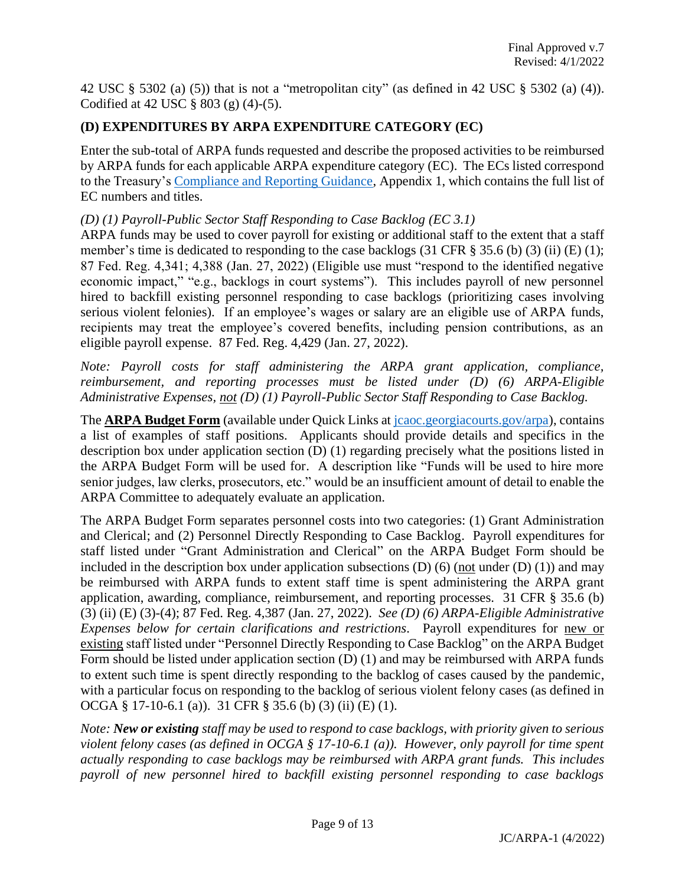42 USC § 5302 (a) (5)) that is not a "metropolitan city" (as defined in 42 USC § 5302 (a) (4)). Codified at 42 USC  $\S 803$  (g) (4)-(5).

#### **(D) EXPENDITURES BY ARPA EXPENDITURE CATEGORY (EC)**

Enter the sub-total of ARPA funds requested and describe the proposed activities to be reimbursed by ARPA funds for each applicable ARPA expenditure category (EC). The ECs listed correspond to the Treasury'[s Compliance and Reporting Guidance,](https://home.treasury.gov/system/files/136/SLFRF-Compliance-and-Reporting-Guidance.pdf) Appendix 1, which contains the full list of EC numbers and titles.

*(D) (1) Payroll-Public Sector Staff Responding to Case Backlog (EC 3.1)*

ARPA funds may be used to cover payroll for existing or additional staff to the extent that a staff member's time is dedicated to responding to the case backlogs (31 CFR § 35.6 (b) (3) (ii) (E) (1); 87 Fed. Reg. 4,341; 4,388 (Jan. 27, 2022) (Eligible use must "respond to the identified negative economic impact," "e.g., backlogs in court systems"). This includes payroll of new personnel hired to backfill existing personnel responding to case backlogs (prioritizing cases involving serious violent felonies).If an employee's wages or salary are an eligible use of ARPA funds, recipients may treat the employee's covered benefits, including pension contributions, as an eligible payroll expense. 87 Fed. Reg. 4,429 (Jan. 27, 2022).

*Note: Payroll costs for staff administering the ARPA grant application, compliance, reimbursement, and reporting processes must be listed under (D) (6) ARPA-Eligible Administrative Expenses, not (D) (1) Payroll-Public Sector Staff Responding to Case Backlog.*

The **ARPA Budget Form** (available under Quick Links at [jcaoc.georgiacourts.gov/arpa\)](https://jcaoc.georgiacourts.gov/arpa), contains a list of examples of staff positions. Applicants should provide details and specifics in the description box under application section (D) (1) regarding precisely what the positions listed in the ARPA Budget Form will be used for. A description like "Funds will be used to hire more senior judges, law clerks, prosecutors, etc." would be an insufficient amount of detail to enable the ARPA Committee to adequately evaluate an application.

The ARPA Budget Form separates personnel costs into two categories: (1) Grant Administration and Clerical; and (2) Personnel Directly Responding to Case Backlog. Payroll expenditures for staff listed under "Grant Administration and Clerical" on the ARPA Budget Form should be included in the description box under application subsections  $(D)$  (6) (not under  $(D)$  (1)) and may be reimbursed with ARPA funds to extent staff time is spent administering the ARPA grant application, awarding, compliance, reimbursement, and reporting processes. 31 CFR § 35.6 (b) (3) (ii) (E) (3)-(4); 87 Fed. Reg. 4,387 (Jan. 27, 2022). *See (D) (6) ARPA-Eligible Administrative Expenses below for certain clarifications and restrictions.* Payroll expenditures for new or existing staff listed under "Personnel Directly Responding to Case Backlog" on the ARPA Budget Form should be listed under application section (D) (1) and may be reimbursed with ARPA funds to extent such time is spent directly responding to the backlog of cases caused by the pandemic, with a particular focus on responding to the backlog of serious violent felony cases (as defined in OCGA § 17-10-6.1 (a)). 31 CFR § 35.6 (b) (3) (ii) (E) (1).

*Note: New or existing staff may be used to respond to case backlogs, with priority given to serious violent felony cases (as defined in OCGA § 17-10-6.1 (a)). However, only payroll for time spent actually responding to case backlogs may be reimbursed with ARPA grant funds. This includes payroll of new personnel hired to backfill existing personnel responding to case backlogs*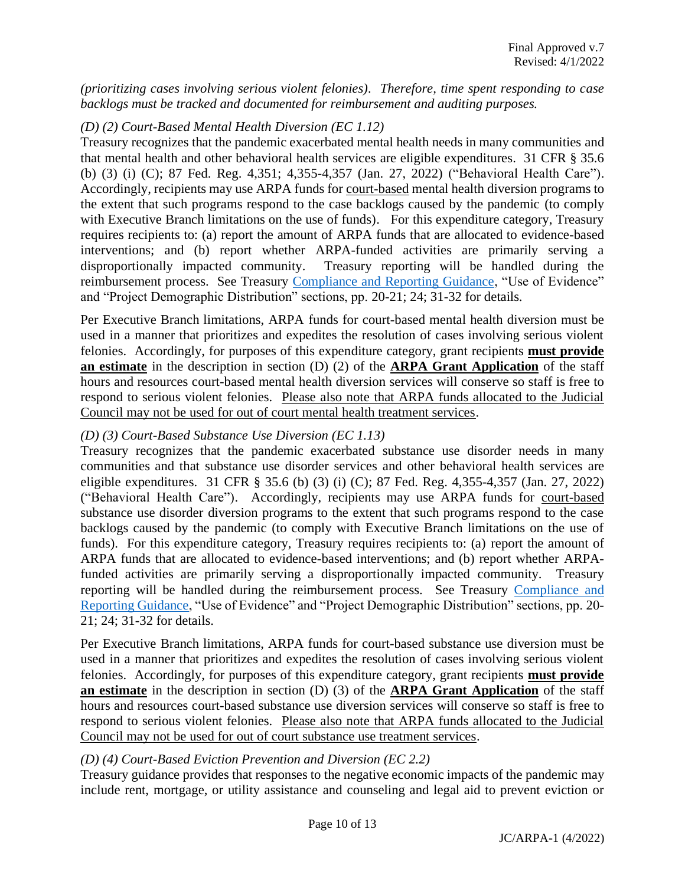*(prioritizing cases involving serious violent felonies). Therefore, time spent responding to case backlogs must be tracked and documented for reimbursement and auditing purposes.*

#### *(D) (2) Court-Based Mental Health Diversion (EC 1.12)*

Treasury recognizes that the pandemic exacerbated mental health needs in many communities and that mental health and other behavioral health services are eligible expenditures. 31 CFR § 35.6 (b) (3) (i) (C); 87 Fed. Reg. 4,351; 4,355-4,357 (Jan. 27, 2022) ("Behavioral Health Care"). Accordingly, recipients may use ARPA funds for court-based mental health diversion programs to the extent that such programs respond to the case backlogs caused by the pandemic (to comply with Executive Branch limitations on the use of funds). For this expenditure category, Treasury requires recipients to: (a) report the amount of ARPA funds that are allocated to evidence-based interventions; and (b) report whether ARPA-funded activities are primarily serving a disproportionally impacted community. Treasury reporting will be handled during the reimbursement process. See Treasury [Compliance and Reporting Guidance,](https://home.treasury.gov/system/files/136/SLFRF-Compliance-and-Reporting-Guidance.pdf) "Use of Evidence" and "Project Demographic Distribution" sections, pp. 20-21; 24; 31-32 for details.

Per Executive Branch limitations, ARPA funds for court-based mental health diversion must be used in a manner that prioritizes and expedites the resolution of cases involving serious violent felonies. Accordingly, for purposes of this expenditure category, grant recipients **must provide an estimate** in the description in section (D) (2) of the **ARPA Grant Application** of the staff hours and resources court-based mental health diversion services will conserve so staff is free to respond to serious violent felonies. Please also note that ARPA funds allocated to the Judicial Council may not be used for out of court mental health treatment services.

#### *(D) (3) Court-Based Substance Use Diversion (EC 1.13)*

Treasury recognizes that the pandemic exacerbated substance use disorder needs in many communities and that substance use disorder services and other behavioral health services are eligible expenditures. 31 CFR § 35.6 (b) (3) (i) (C); 87 Fed. Reg. 4,355-4,357 (Jan. 27, 2022) ("Behavioral Health Care"). Accordingly, recipients may use ARPA funds for court-based substance use disorder diversion programs to the extent that such programs respond to the case backlogs caused by the pandemic (to comply with Executive Branch limitations on the use of funds). For this expenditure category, Treasury requires recipients to: (a) report the amount of ARPA funds that are allocated to evidence-based interventions; and (b) report whether ARPAfunded activities are primarily serving a disproportionally impacted community. Treasury reporting will be handled during the reimbursement process. See Treasury [Compliance and](https://home.treasury.gov/system/files/136/SLFRF-Compliance-and-Reporting-Guidance.pdf)  [Reporting Guidance,](https://home.treasury.gov/system/files/136/SLFRF-Compliance-and-Reporting-Guidance.pdf) "Use of Evidence" and "Project Demographic Distribution" sections, pp. 20- 21; 24; 31-32 for details.

Per Executive Branch limitations, ARPA funds for court-based substance use diversion must be used in a manner that prioritizes and expedites the resolution of cases involving serious violent felonies. Accordingly, for purposes of this expenditure category, grant recipients **must provide an estimate** in the description in section (D) (3) of the **ARPA Grant Application** of the staff hours and resources court-based substance use diversion services will conserve so staff is free to respond to serious violent felonies. Please also note that ARPA funds allocated to the Judicial Council may not be used for out of court substance use treatment services.

#### *(D) (4) Court-Based Eviction Prevention and Diversion (EC 2.2)*

Treasury guidance provides that responses to the negative economic impacts of the pandemic may include rent, mortgage, or utility assistance and counseling and legal aid to prevent eviction or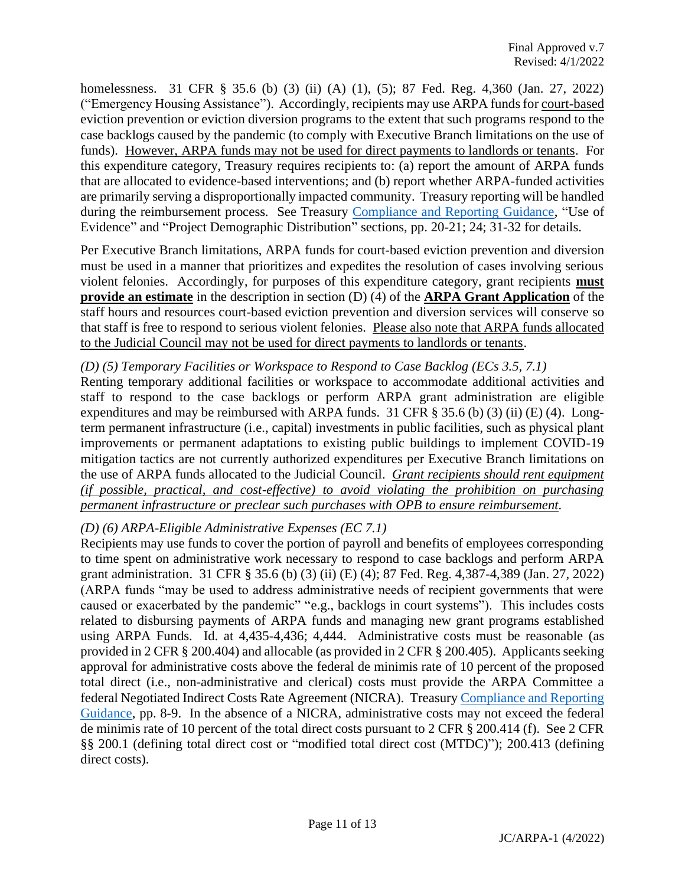homelessness. 31 CFR § 35.6 (b) (3) (ii) (A) (1), (5); 87 Fed. Reg. 4,360 (Jan. 27, 2022) ("Emergency Housing Assistance"). Accordingly, recipients may use ARPA funds for court-based eviction prevention or eviction diversion programs to the extent that such programs respond to the case backlogs caused by the pandemic (to comply with Executive Branch limitations on the use of funds). However, ARPA funds may not be used for direct payments to landlords or tenants. For this expenditure category, Treasury requires recipients to: (a) report the amount of ARPA funds that are allocated to evidence-based interventions; and (b) report whether ARPA-funded activities are primarily serving a disproportionally impacted community. Treasury reporting will be handled during the reimbursement process. See Treasury [Compliance and Reporting Guidance,](https://home.treasury.gov/system/files/136/SLFRF-Compliance-and-Reporting-Guidance.pdf) "Use of Evidence" and "Project Demographic Distribution" sections, pp. 20-21; 24; 31-32 for details.

Per Executive Branch limitations, ARPA funds for court-based eviction prevention and diversion must be used in a manner that prioritizes and expedites the resolution of cases involving serious violent felonies. Accordingly, for purposes of this expenditure category, grant recipients **must provide an estimate** in the description in section (D) (4) of the **ARPA Grant Application** of the staff hours and resources court-based eviction prevention and diversion services will conserve so that staff is free to respond to serious violent felonies. Please also note that ARPA funds allocated to the Judicial Council may not be used for direct payments to landlords or tenants.

#### *(D) (5) Temporary Facilities or Workspace to Respond to Case Backlog (ECs 3.5, 7.1)*

Renting temporary additional facilities or workspace to accommodate additional activities and staff to respond to the case backlogs or perform ARPA grant administration are eligible expenditures and may be reimbursed with ARPA funds. 31 CFR  $\S$  35.6 (b) (3) (ii) (E) (4). Longterm permanent infrastructure (i.e., capital) investments in public facilities, such as physical plant improvements or permanent adaptations to existing public buildings to implement COVID-19 mitigation tactics are not currently authorized expenditures per Executive Branch limitations on the use of ARPA funds allocated to the Judicial Council. *Grant recipients should rent equipment (if possible, practical, and cost-effective) to avoid violating the prohibition on purchasing permanent infrastructure or preclear such purchases with OPB to ensure reimbursement.*

#### *(D) (6) ARPA-Eligible Administrative Expenses (EC 7.1)*

Recipients may use funds to cover the portion of payroll and benefits of employees corresponding to time spent on administrative work necessary to respond to case backlogs and perform ARPA grant administration. 31 CFR § 35.6 (b) (3) (ii) (E) (4); 87 Fed. Reg. 4,387-4,389 (Jan. 27, 2022) (ARPA funds "may be used to address administrative needs of recipient governments that were caused or exacerbated by the pandemic" "e.g., backlogs in court systems"). This includes costs related to disbursing payments of ARPA funds and managing new grant programs established using ARPA Funds. Id. at 4,435-4,436; 4,444. Administrative costs must be reasonable (as provided in 2 CFR § 200.404) and allocable (as provided in 2 CFR § 200.405). Applicants seeking approval for administrative costs above the federal de minimis rate of 10 percent of the proposed total direct (i.e., non-administrative and clerical) costs must provide the ARPA Committee a federal Negotiated Indirect Costs Rate Agreement (NICRA). Treasur[y Compliance and Reporting](https://home.treasury.gov/system/files/136/SLFRF-Compliance-and-Reporting-Guidance.pdf)  [Guidance,](https://home.treasury.gov/system/files/136/SLFRF-Compliance-and-Reporting-Guidance.pdf) pp. 8-9. In the absence of a NICRA, administrative costs may not exceed the federal de minimis rate of 10 percent of the total direct costs pursuant to 2 CFR § 200.414 (f). See 2 CFR §§ 200.1 (defining total direct cost or "modified total direct cost (MTDC)"); 200.413 (defining direct costs).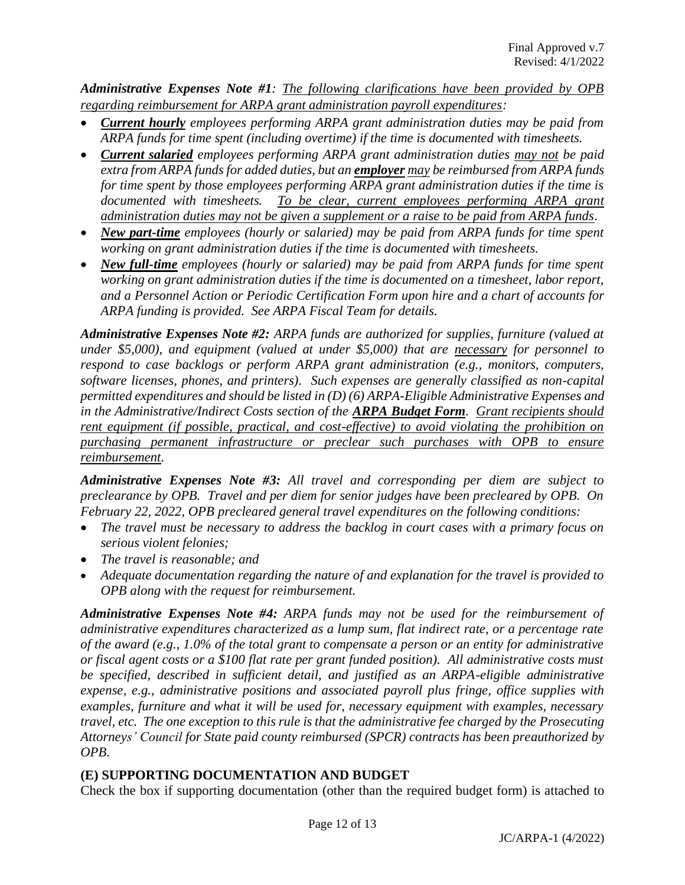*Administrative Expenses Note #1: The following clarifications have been provided by OPB regarding reimbursement for ARPA grant administration payroll expenditures:*

- *Current hourly employees performing ARPA grant administration duties may be paid from ARPA funds for time spent (including overtime) if the time is documented with timesheets.*
- *Current salaried employees performing ARPA grant administration duties may not be paid extra from ARPA funds for added duties, but an employer may be reimbursed from ARPA funds for time spent by those employees performing ARPA grant administration duties if the time is*  documented with timesheets. To be clear, current employees performing ARPA grant *administration duties may not be given a supplement or a raise to be paid from ARPA funds.*
- *New part-time employees (hourly or salaried) may be paid from ARPA funds for time spent working on grant administration duties if the time is documented with timesheets.*
- *New full-time employees (hourly or salaried) may be paid from ARPA funds for time spent working on grant administration duties if the time is documented on a timesheet, labor report, and a Personnel Action or Periodic Certification Form upon hire and a chart of accounts for ARPA funding is provided. See ARPA Fiscal Team for details.*

*Administrative Expenses Note #2: ARPA funds are authorized for supplies, furniture (valued at under \$5,000), and equipment (valued at under \$5,000) that are necessary for personnel to respond to case backlogs or perform ARPA grant administration (e.g., monitors, computers, software licenses, phones, and printers). Such expenses are generally classified as non-capital permitted expenditures and should be listed in (D) (6) ARPA-Eligible Administrative Expenses and in the Administrative/Indirect Costs section of the ARPA Budget Form. Grant recipients should rent equipment (if possible, practical, and cost-effective) to avoid violating the prohibition on purchasing permanent infrastructure or preclear such purchases with OPB to ensure reimbursement.*

*Administrative Expenses Note #3: All travel and corresponding per diem are subject to preclearance by OPB. Travel and per diem for senior judges have been precleared by OPB. On February 22, 2022, OPB precleared general travel expenditures on the following conditions:*

- *The travel must be necessary to address the backlog in court cases with a primary focus on serious violent felonies;*
- *The travel is reasonable; and*
- *Adequate documentation regarding the nature of and explanation for the travel is provided to OPB along with the request for reimbursement.*

*Administrative Expenses Note #4: ARPA funds may not be used for the reimbursement of administrative expenditures characterized as a lump sum, flat indirect rate, or a percentage rate of the award (e.g., 1.0% of the total grant to compensate a person or an entity for administrative or fiscal agent costs or a \$100 flat rate per grant funded position). All administrative costs must be specified, described in sufficient detail, and justified as an ARPA-eligible administrative expense, e.g., administrative positions and associated payroll plus fringe, office supplies with examples, furniture and what it will be used for, necessary equipment with examples, necessary travel, etc. The one exception to this rule is that the administrative fee charged by the Prosecuting Attorneys' Council for State paid county reimbursed (SPCR) contracts has been preauthorized by OPB.*

## **(E) SUPPORTING DOCUMENTATION AND BUDGET**

Check the box if supporting documentation (other than the required budget form) is attached to